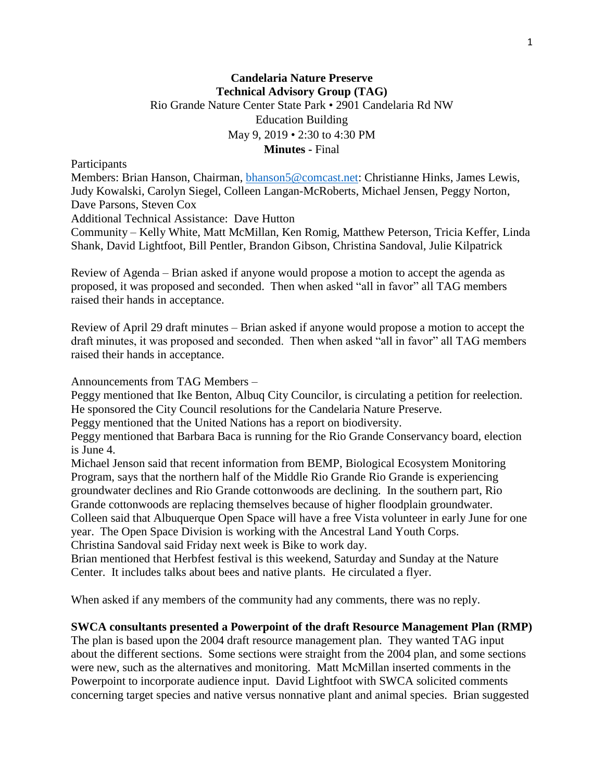### **Candelaria Nature Preserve Technical Advisory Group (TAG)** Rio Grande Nature Center State Park • 2901 Candelaria Rd NW Education Building May 9, 2019 • 2:30 to 4:30 PM **Minutes -** Final

**Participants** 

Members: Brian Hanson, Chairman, [bhanson5@comcast.net:](mailto:bhanson5@comcast.net) Christianne Hinks, James Lewis, Judy Kowalski, Carolyn Siegel, Colleen Langan-McRoberts, Michael Jensen, Peggy Norton, Dave Parsons, Steven Cox

Additional Technical Assistance: Dave Hutton

Community – Kelly White, Matt McMillan, Ken Romig, Matthew Peterson, Tricia Keffer, Linda Shank, David Lightfoot, Bill Pentler, Brandon Gibson, Christina Sandoval, Julie Kilpatrick

Review of Agenda – Brian asked if anyone would propose a motion to accept the agenda as proposed, it was proposed and seconded. Then when asked "all in favor" all TAG members raised their hands in acceptance.

Review of April 29 draft minutes – Brian asked if anyone would propose a motion to accept the draft minutes, it was proposed and seconded. Then when asked "all in favor" all TAG members raised their hands in acceptance.

Announcements from TAG Members –

Peggy mentioned that Ike Benton, Albuq City Councilor, is circulating a petition for reelection. He sponsored the City Council resolutions for the Candelaria Nature Preserve.

Peggy mentioned that the United Nations has a report on biodiversity.

Peggy mentioned that Barbara Baca is running for the Rio Grande Conservancy board, election is June 4.

Michael Jenson said that recent information from BEMP, Biological Ecosystem Monitoring Program, says that the northern half of the Middle Rio Grande Rio Grande is experiencing groundwater declines and Rio Grande cottonwoods are declining. In the southern part, Rio

Grande cottonwoods are replacing themselves because of higher floodplain groundwater.

Colleen said that Albuquerque Open Space will have a free Vista volunteer in early June for one year. The Open Space Division is working with the Ancestral Land Youth Corps.

Christina Sandoval said Friday next week is Bike to work day.

Brian mentioned that Herbfest festival is this weekend, Saturday and Sunday at the Nature Center. It includes talks about bees and native plants. He circulated a flyer.

When asked if any members of the community had any comments, there was no reply.

#### **SWCA consultants presented a Powerpoint of the draft Resource Management Plan (RMP)**

The plan is based upon the 2004 draft resource management plan. They wanted TAG input about the different sections. Some sections were straight from the 2004 plan, and some sections were new, such as the alternatives and monitoring. Matt McMillan inserted comments in the Powerpoint to incorporate audience input. David Lightfoot with SWCA solicited comments concerning target species and native versus nonnative plant and animal species. Brian suggested